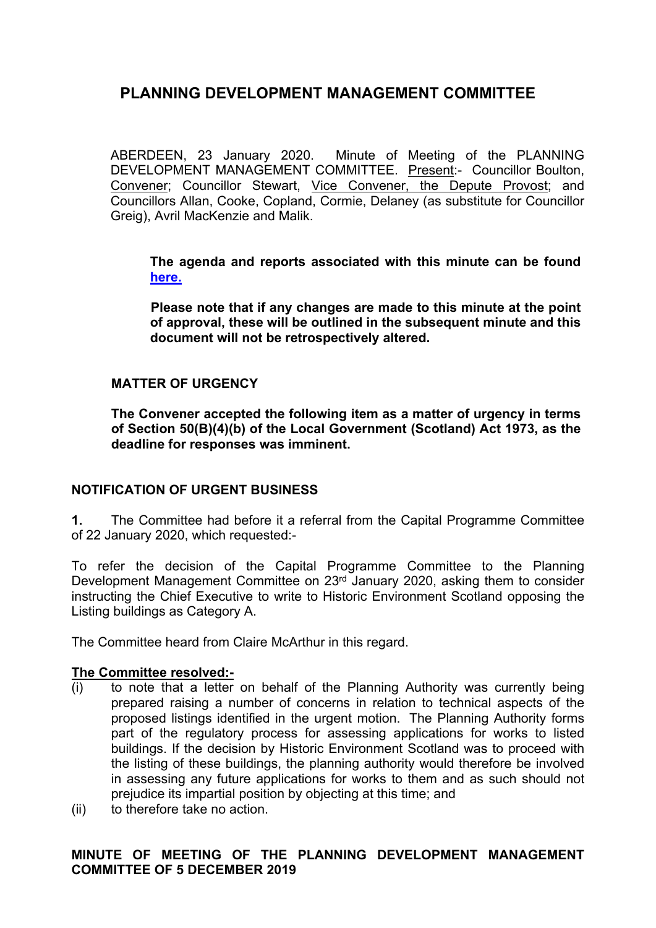ABERDEEN, 23 January 2020. Minute of Meeting of the PLANNING DEVELOPMENT MANAGEMENT COMMITTEE. Present:- Councillor Boulton, Convener; Councillor Stewart, Vice Convener, the Depute Provost; and Councillors Allan, Cooke, Copland, Cormie, Delaney (as substitute for Councillor Greig), Avril MacKenzie and Malik.

**The agenda and reports associated with this minute can be found [here.](https://committees.aberdeencity.gov.uk/ieListDocuments.aspx?CId=348&MId=7088&Ver=4)**

**Please note that if any changes are made to this minute at the point of approval, these will be outlined in the subsequent minute and this document will not be retrospectively altered.**

## **MATTER OF URGENCY**

**The Convener accepted the following item as a matter of urgency in terms of Section 50(B)(4)(b) of the Local Government (Scotland) Act 1973, as the deadline for responses was imminent.** 

## **NOTIFICATION OF URGENT BUSINESS**

**1.** The Committee had before it a referral from the Capital Programme Committee of 22 January 2020, which requested:-

To refer the decision of the Capital Programme Committee to the Planning Development Management Committee on 23rd January 2020, asking them to consider instructing the Chief Executive to write to Historic Environment Scotland opposing the Listing buildings as Category A.

The Committee heard from Claire McArthur in this regard.

### **The Committee resolved:-**

- (i) to note that a letter on behalf of the Planning Authority was currently being prepared raising a number of concerns in relation to technical aspects of the proposed listings identified in the urgent motion. The Planning Authority forms part of the regulatory process for assessing applications for works to listed buildings. If the decision by Historic Environment Scotland was to proceed with the listing of these buildings, the planning authority would therefore be involved in assessing any future applications for works to them and as such should not prejudice its impartial position by objecting at this time; and
- (ii) to therefore take no action.

## **MINUTE OF MEETING OF THE PLANNING DEVELOPMENT MANAGEMENT COMMITTEE OF 5 DECEMBER 2019**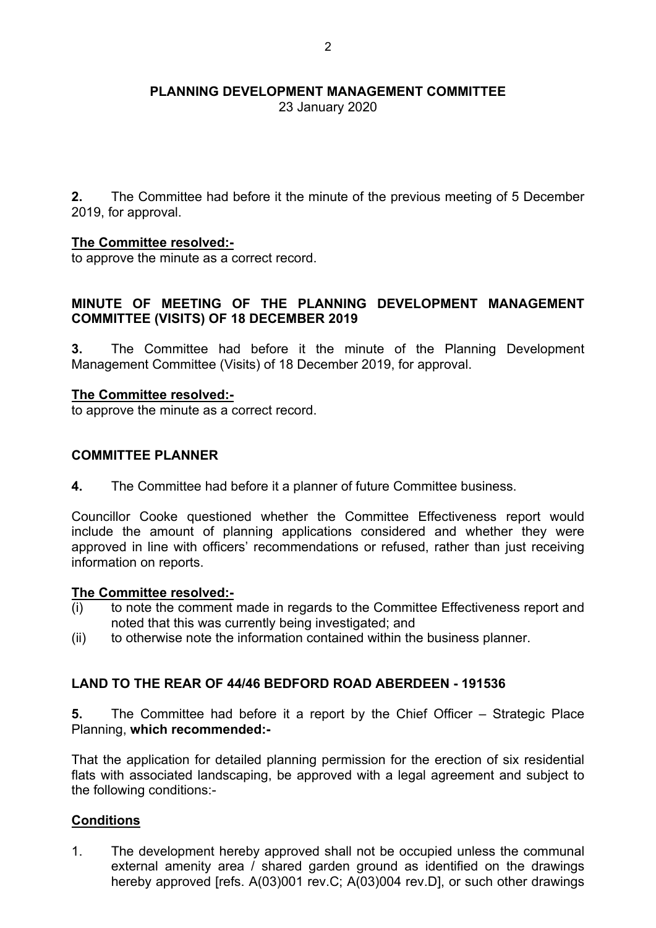23 January 2020

**2.** The Committee had before it the minute of the previous meeting of 5 December 2019, for approval.

### **The Committee resolved:-**

to approve the minute as a correct record.

### **MINUTE OF MEETING OF THE PLANNING DEVELOPMENT MANAGEMENT COMMITTEE (VISITS) OF 18 DECEMBER 2019**

**3.** The Committee had before it the minute of the Planning Development Management Committee (Visits) of 18 December 2019, for approval.

#### **The Committee resolved:-**

to approve the minute as a correct record.

#### **COMMITTEE PLANNER**

**4.** The Committee had before it a planner of future Committee business.

Councillor Cooke questioned whether the Committee Effectiveness report would include the amount of planning applications considered and whether they were approved in line with officers' recommendations or refused, rather than just receiving information on reports.

#### **The Committee resolved:-**

- (i) to note the comment made in regards to the Committee Effectiveness report and noted that this was currently being investigated; and
- (ii) to otherwise note the information contained within the business planner.

### **LAND TO THE REAR OF 44/46 BEDFORD ROAD ABERDEEN - 191536**

**5.** The Committee had before it a report by the Chief Officer – Strategic Place Planning, **which recommended:-**

That the application for detailed planning permission for the erection of six residential flats with associated landscaping, be approved with a legal agreement and subject to the following conditions:-

### **Conditions**

1. The development hereby approved shall not be occupied unless the communal external amenity area / shared garden ground as identified on the drawings hereby approved [refs. A(03)001 rev.C; A(03)004 rev.D], or such other drawings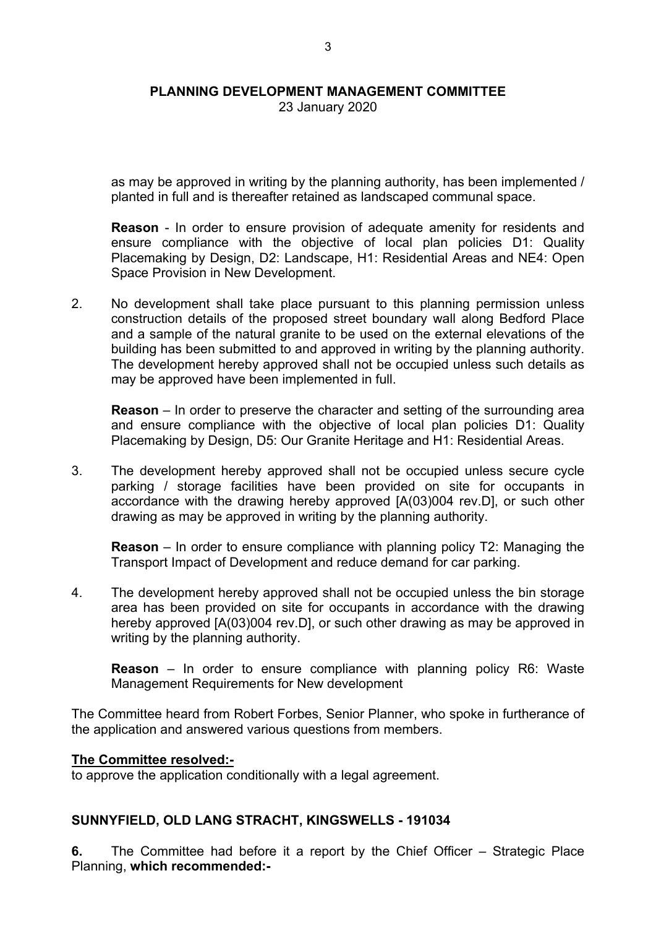23 January 2020

as may be approved in writing by the planning authority, has been implemented / planted in full and is thereafter retained as landscaped communal space.

**Reason** - In order to ensure provision of adequate amenity for residents and ensure compliance with the objective of local plan policies D1: Quality Placemaking by Design, D2: Landscape, H1: Residential Areas and NE4: Open Space Provision in New Development.

2. No development shall take place pursuant to this planning permission unless construction details of the proposed street boundary wall along Bedford Place and a sample of the natural granite to be used on the external elevations of the building has been submitted to and approved in writing by the planning authority. The development hereby approved shall not be occupied unless such details as may be approved have been implemented in full.

**Reason** – In order to preserve the character and setting of the surrounding area and ensure compliance with the objective of local plan policies D1: Quality Placemaking by Design, D5: Our Granite Heritage and H1: Residential Areas.

3. The development hereby approved shall not be occupied unless secure cycle parking / storage facilities have been provided on site for occupants in accordance with the drawing hereby approved [A(03)004 rev.D], or such other drawing as may be approved in writing by the planning authority.

**Reason** – In order to ensure compliance with planning policy T2: Managing the Transport Impact of Development and reduce demand for car parking.

4. The development hereby approved shall not be occupied unless the bin storage area has been provided on site for occupants in accordance with the drawing hereby approved [A(03)004 rev.D], or such other drawing as may be approved in writing by the planning authority.

**Reason** – In order to ensure compliance with planning policy R6: Waste Management Requirements for New development

The Committee heard from Robert Forbes, Senior Planner, who spoke in furtherance of the application and answered various questions from members.

#### **The Committee resolved:-**

to approve the application conditionally with a legal agreement.

### **SUNNYFIELD, OLD LANG STRACHT, KINGSWELLS - 191034**

**6.** The Committee had before it a report by the Chief Officer – Strategic Place Planning, **which recommended:-**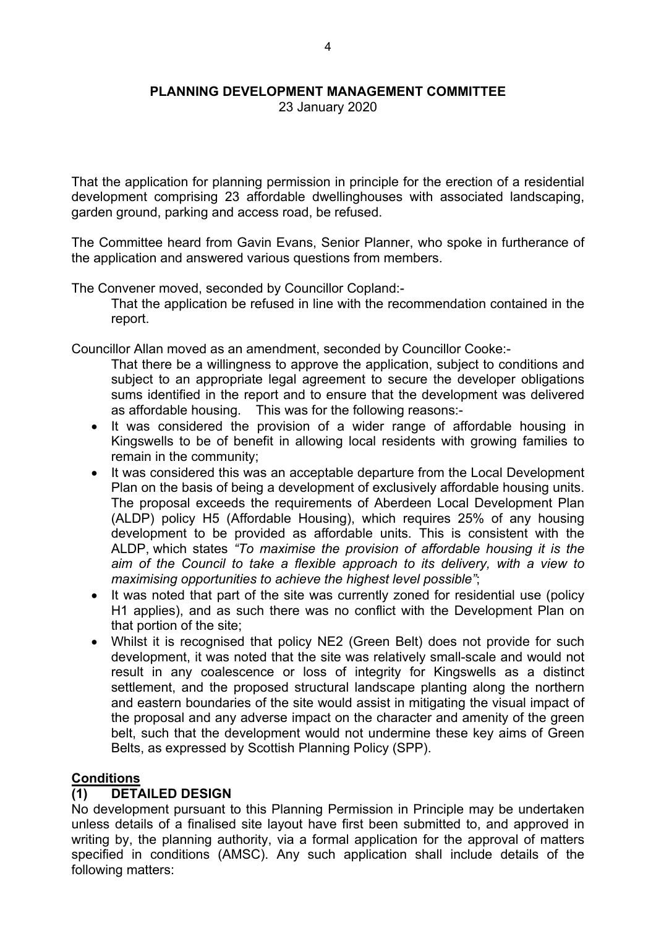23 January 2020

That the application for planning permission in principle for the erection of a residential development comprising 23 affordable dwellinghouses with associated landscaping, garden ground, parking and access road, be refused.

The Committee heard from Gavin Evans, Senior Planner, who spoke in furtherance of the application and answered various questions from members.

The Convener moved, seconded by Councillor Copland:-

That the application be refused in line with the recommendation contained in the report.

Councillor Allan moved as an amendment, seconded by Councillor Cooke:-

- That there be a willingness to approve the application, subject to conditions and subject to an appropriate legal agreement to secure the developer obligations sums identified in the report and to ensure that the development was delivered as affordable housing. This was for the following reasons:-
- It was considered the provision of a wider range of affordable housing in Kingswells to be of benefit in allowing local residents with growing families to remain in the community;
- It was considered this was an acceptable departure from the Local Development Plan on the basis of being a development of exclusively affordable housing units. The proposal exceeds the requirements of Aberdeen Local Development Plan (ALDP) policy H5 (Affordable Housing), which requires 25% of any housing development to be provided as affordable units. This is consistent with the ALDP, which states *"To maximise the provision of affordable housing it is the aim of the Council to take a flexible approach to its delivery, with a view to maximising opportunities to achieve the highest level possible"*;
- It was noted that part of the site was currently zoned for residential use (policy H1 applies), and as such there was no conflict with the Development Plan on that portion of the site;
- Whilst it is recognised that policy NE2 (Green Belt) does not provide for such development, it was noted that the site was relatively small-scale and would not result in any coalescence or loss of integrity for Kingswells as a distinct settlement, and the proposed structural landscape planting along the northern and eastern boundaries of the site would assist in mitigating the visual impact of the proposal and any adverse impact on the character and amenity of the green belt, such that the development would not undermine these key aims of Green Belts, as expressed by Scottish Planning Policy (SPP).

### **Conditions**

## **(1) DETAILED DESIGN**

No development pursuant to this Planning Permission in Principle may be undertaken unless details of a finalised site layout have first been submitted to, and approved in writing by, the planning authority, via a formal application for the approval of matters specified in conditions (AMSC). Any such application shall include details of the following matters: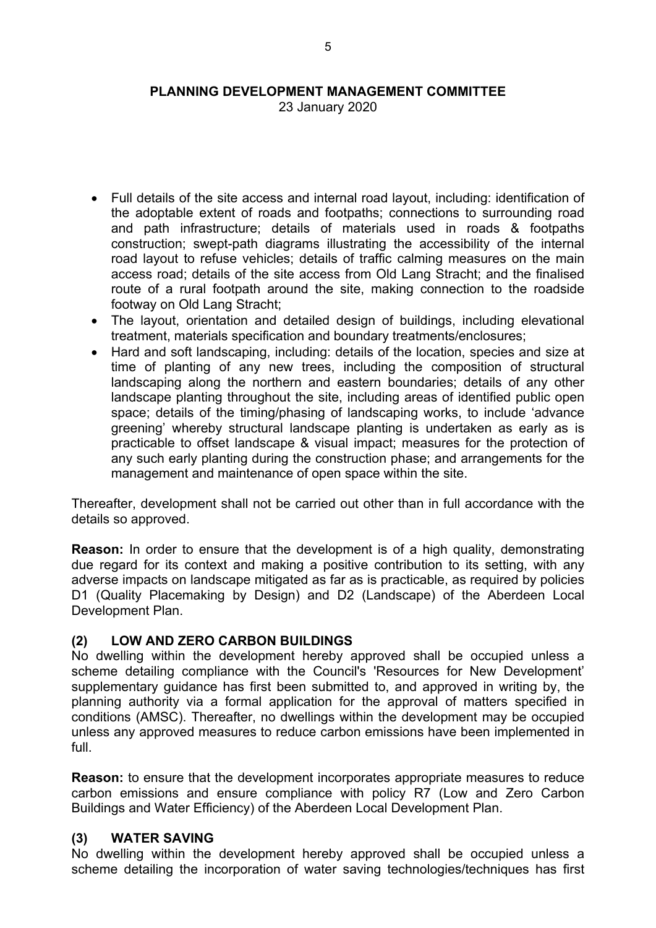23 January 2020

- Full details of the site access and internal road layout, including: identification of the adoptable extent of roads and footpaths; connections to surrounding road and path infrastructure; details of materials used in roads & footpaths construction; swept-path diagrams illustrating the accessibility of the internal road layout to refuse vehicles; details of traffic calming measures on the main access road; details of the site access from Old Lang Stracht; and the finalised route of a rural footpath around the site, making connection to the roadside footway on Old Lang Stracht;
- The layout, orientation and detailed design of buildings, including elevational treatment, materials specification and boundary treatments/enclosures;
- Hard and soft landscaping, including: details of the location, species and size at time of planting of any new trees, including the composition of structural landscaping along the northern and eastern boundaries; details of any other landscape planting throughout the site, including areas of identified public open space; details of the timing/phasing of landscaping works, to include 'advance greening' whereby structural landscape planting is undertaken as early as is practicable to offset landscape & visual impact; measures for the protection of any such early planting during the construction phase; and arrangements for the management and maintenance of open space within the site.

Thereafter, development shall not be carried out other than in full accordance with the details so approved.

**Reason:** In order to ensure that the development is of a high quality, demonstrating due regard for its context and making a positive contribution to its setting, with any adverse impacts on landscape mitigated as far as is practicable, as required by policies D1 (Quality Placemaking by Design) and D2 (Landscape) of the Aberdeen Local Development Plan.

### **(2) LOW AND ZERO CARBON BUILDINGS**

No dwelling within the development hereby approved shall be occupied unless a scheme detailing compliance with the Council's 'Resources for New Development' supplementary guidance has first been submitted to, and approved in writing by, the planning authority via a formal application for the approval of matters specified in conditions (AMSC). Thereafter, no dwellings within the development may be occupied unless any approved measures to reduce carbon emissions have been implemented in full.

**Reason:** to ensure that the development incorporates appropriate measures to reduce carbon emissions and ensure compliance with policy R7 (Low and Zero Carbon Buildings and Water Efficiency) of the Aberdeen Local Development Plan.

## **(3) WATER SAVING**

No dwelling within the development hereby approved shall be occupied unless a scheme detailing the incorporation of water saving technologies/techniques has first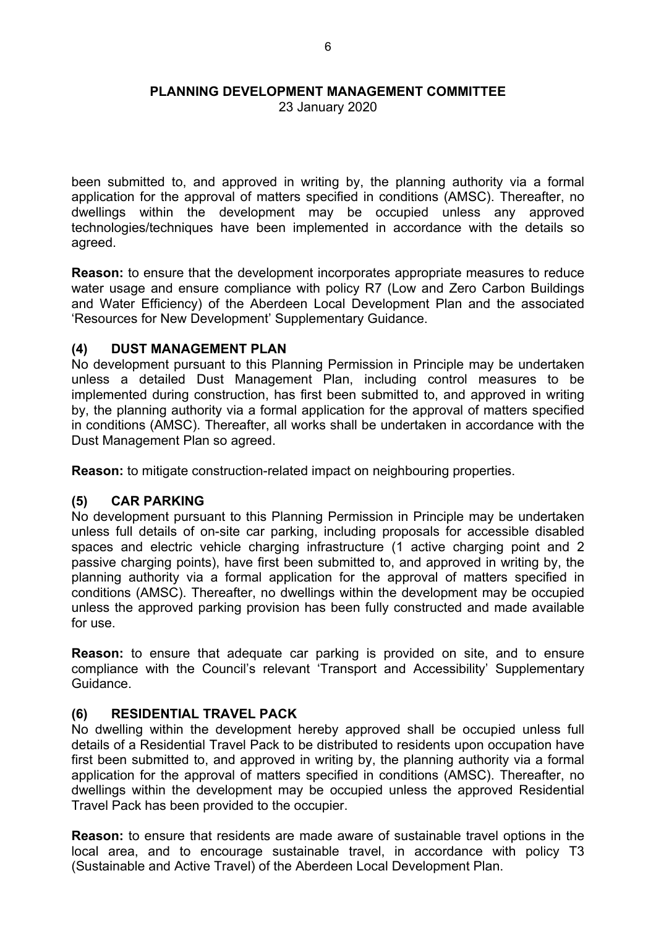23 January 2020

been submitted to, and approved in writing by, the planning authority via a formal application for the approval of matters specified in conditions (AMSC). Thereafter, no dwellings within the development may be occupied unless any approved technologies/techniques have been implemented in accordance with the details so agreed.

**Reason:** to ensure that the development incorporates appropriate measures to reduce water usage and ensure compliance with policy R7 (Low and Zero Carbon Buildings and Water Efficiency) of the Aberdeen Local Development Plan and the associated 'Resources for New Development' Supplementary Guidance.

### **(4) DUST MANAGEMENT PLAN**

No development pursuant to this Planning Permission in Principle may be undertaken unless a detailed Dust Management Plan, including control measures to be implemented during construction, has first been submitted to, and approved in writing by, the planning authority via a formal application for the approval of matters specified in conditions (AMSC). Thereafter, all works shall be undertaken in accordance with the Dust Management Plan so agreed.

**Reason:** to mitigate construction-related impact on neighbouring properties.

### **(5) CAR PARKING**

No development pursuant to this Planning Permission in Principle may be undertaken unless full details of on-site car parking, including proposals for accessible disabled spaces and electric vehicle charging infrastructure (1 active charging point and 2 passive charging points), have first been submitted to, and approved in writing by, the planning authority via a formal application for the approval of matters specified in conditions (AMSC). Thereafter, no dwellings within the development may be occupied unless the approved parking provision has been fully constructed and made available for use.

**Reason:** to ensure that adequate car parking is provided on site, and to ensure compliance with the Council's relevant 'Transport and Accessibility' Supplementary Guidance.

### **(6) RESIDENTIAL TRAVEL PACK**

No dwelling within the development hereby approved shall be occupied unless full details of a Residential Travel Pack to be distributed to residents upon occupation have first been submitted to, and approved in writing by, the planning authority via a formal application for the approval of matters specified in conditions (AMSC). Thereafter, no dwellings within the development may be occupied unless the approved Residential Travel Pack has been provided to the occupier.

**Reason:** to ensure that residents are made aware of sustainable travel options in the local area, and to encourage sustainable travel, in accordance with policy T3 (Sustainable and Active Travel) of the Aberdeen Local Development Plan.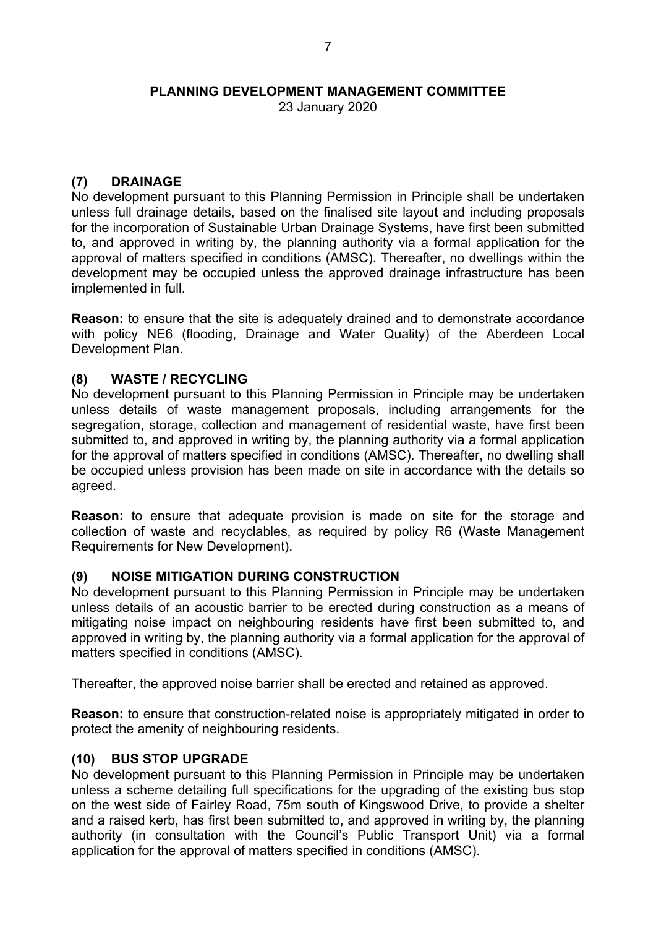23 January 2020

### **(7) DRAINAGE**

No development pursuant to this Planning Permission in Principle shall be undertaken unless full drainage details, based on the finalised site layout and including proposals for the incorporation of Sustainable Urban Drainage Systems, have first been submitted to, and approved in writing by, the planning authority via a formal application for the approval of matters specified in conditions (AMSC). Thereafter, no dwellings within the development may be occupied unless the approved drainage infrastructure has been implemented in full.

**Reason:** to ensure that the site is adequately drained and to demonstrate accordance with policy NE6 (flooding, Drainage and Water Quality) of the Aberdeen Local Development Plan.

## **(8) WASTE / RECYCLING**

No development pursuant to this Planning Permission in Principle may be undertaken unless details of waste management proposals, including arrangements for the segregation, storage, collection and management of residential waste, have first been submitted to, and approved in writing by, the planning authority via a formal application for the approval of matters specified in conditions (AMSC). Thereafter, no dwelling shall be occupied unless provision has been made on site in accordance with the details so agreed.

**Reason:** to ensure that adequate provision is made on site for the storage and collection of waste and recyclables, as required by policy R6 (Waste Management Requirements for New Development).

### **(9) NOISE MITIGATION DURING CONSTRUCTION**

No development pursuant to this Planning Permission in Principle may be undertaken unless details of an acoustic barrier to be erected during construction as a means of mitigating noise impact on neighbouring residents have first been submitted to, and approved in writing by, the planning authority via a formal application for the approval of matters specified in conditions (AMSC).

Thereafter, the approved noise barrier shall be erected and retained as approved.

**Reason:** to ensure that construction-related noise is appropriately mitigated in order to protect the amenity of neighbouring residents.

### **(10) BUS STOP UPGRADE**

No development pursuant to this Planning Permission in Principle may be undertaken unless a scheme detailing full specifications for the upgrading of the existing bus stop on the west side of Fairley Road, 75m south of Kingswood Drive, to provide a shelter and a raised kerb, has first been submitted to, and approved in writing by, the planning authority (in consultation with the Council's Public Transport Unit) via a formal application for the approval of matters specified in conditions (AMSC).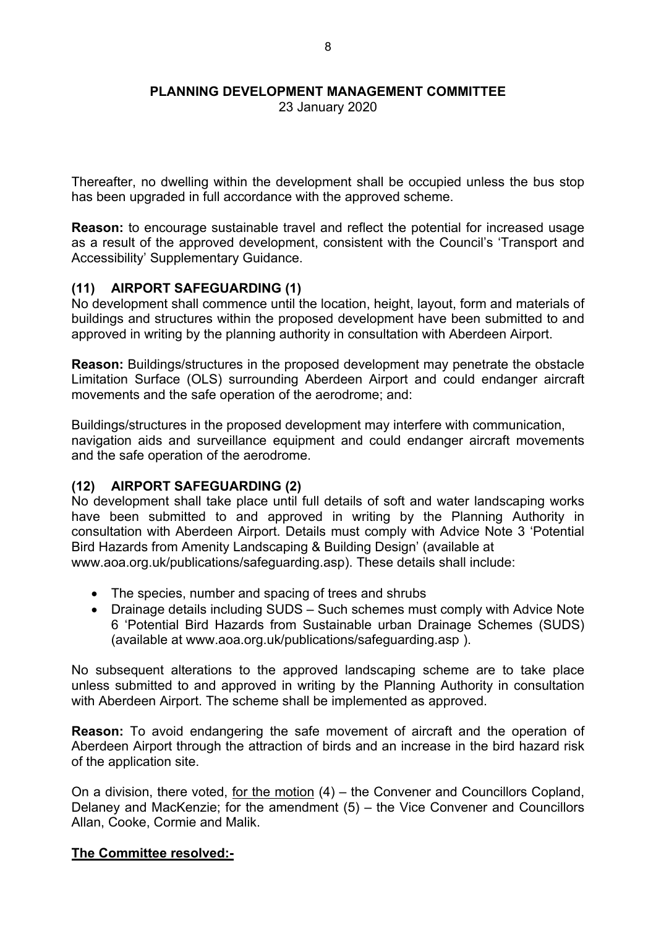23 January 2020

Thereafter, no dwelling within the development shall be occupied unless the bus stop has been upgraded in full accordance with the approved scheme.

**Reason:** to encourage sustainable travel and reflect the potential for increased usage as a result of the approved development, consistent with the Council's 'Transport and Accessibility' Supplementary Guidance.

## **(11) AIRPORT SAFEGUARDING (1)**

No development shall commence until the location, height, layout, form and materials of buildings and structures within the proposed development have been submitted to and approved in writing by the planning authority in consultation with Aberdeen Airport.

**Reason:** Buildings/structures in the proposed development may penetrate the obstacle Limitation Surface (OLS) surrounding Aberdeen Airport and could endanger aircraft movements and the safe operation of the aerodrome; and:

Buildings/structures in the proposed development may interfere with communication, navigation aids and surveillance equipment and could endanger aircraft movements and the safe operation of the aerodrome.

### **(12) AIRPORT SAFEGUARDING (2)**

No development shall take place until full details of soft and water landscaping works have been submitted to and approved in writing by the Planning Authority in consultation with Aberdeen Airport. Details must comply with Advice Note 3 'Potential Bird Hazards from Amenity Landscaping & Building Design' (available at www.aoa.org.uk/publications/safeguarding.asp). These details shall include:

- The species, number and spacing of trees and shrubs
- Drainage details including SUDS Such schemes must comply with Advice Note 6 'Potential Bird Hazards from Sustainable urban Drainage Schemes (SUDS) (available at www.aoa.org.uk/publications/safeguarding.asp ).

No subsequent alterations to the approved landscaping scheme are to take place unless submitted to and approved in writing by the Planning Authority in consultation with Aberdeen Airport. The scheme shall be implemented as approved.

**Reason:** To avoid endangering the safe movement of aircraft and the operation of Aberdeen Airport through the attraction of birds and an increase in the bird hazard risk of the application site.

On a division, there voted, for the motion (4) – the Convener and Councillors Copland, Delaney and MacKenzie; for the amendment (5) – the Vice Convener and Councillors Allan, Cooke, Cormie and Malik.

### **The Committee resolved:-**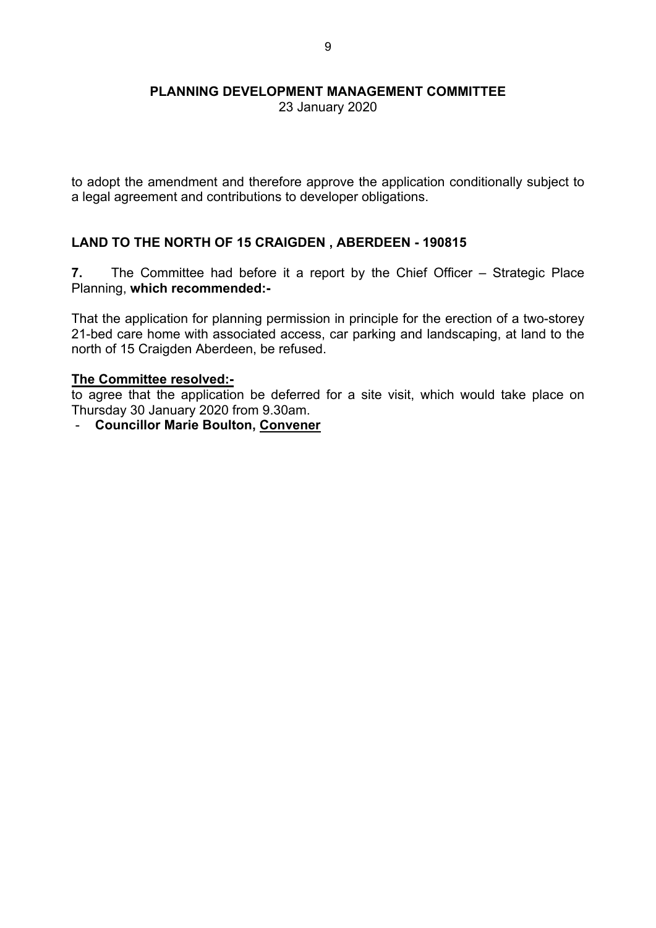23 January 2020

to adopt the amendment and therefore approve the application conditionally subject to a legal agreement and contributions to developer obligations.

## **LAND TO THE NORTH OF 15 CRAIGDEN , ABERDEEN - 190815**

**7.** The Committee had before it a report by the Chief Officer – Strategic Place Planning, **which recommended:-**

That the application for planning permission in principle for the erection of a two-storey 21-bed care home with associated access, car parking and landscaping, at land to the north of 15 Craigden Aberdeen, be refused.

#### **The Committee resolved:-**

to agree that the application be deferred for a site visit, which would take place on Thursday 30 January 2020 from 9.30am.

- **Councillor Marie Boulton, Convener**